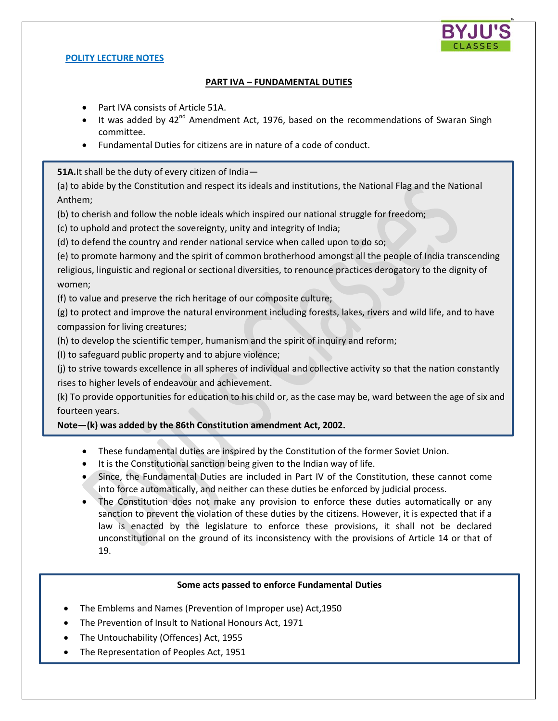## **POLITY LECTURE NOTES**

## **PART IVA – FUNDAMENTAL DUTIES**

- Part IVA consists of Article 51A.
- It was added by  $42^{nd}$  Amendment Act, 1976, based on the recommendations of Swaran Singh committee.
- Fundamental Duties for citizens are in nature of a code of conduct.

**51A.**It shall be the duty of every citizen of India—

(a) to abide by the Constitution and respect its ideals and institutions, the National Flag and the National Anthem;

(b) to cherish and follow the noble ideals which inspired our national struggle for freedom;

(c) to uphold and protect the sovereignty, unity and integrity of India;

(d) to defend the country and render national service when called upon to do so;

(e) to promote harmony and the spirit of common brotherhood amongst all the people of India transcending religious, linguistic and regional or sectional diversities, to renounce practices derogatory to the dignity of women;

(f) to value and preserve the rich heritage of our composite culture;

(g) to protect and improve the natural environment including forests, lakes, rivers and wild life, and to have compassion for living creatures;

- (h) to develop the scientific temper, humanism and the spirit of inquiry and reform;
- (I) to safeguard public property and to abjure violence;

(j) to strive towards excellence in all spheres of individual and collective activity so that the nation constantly rises to higher levels of endeavour and achievement.

(k) To provide opportunities for education to his child or, as the case may be, ward between the age of six and fourteen years.

## **Note—(k) was added by the 86th Constitution amendment Act, 2002.**

- These fundamental duties are inspired by the Constitution of the former Soviet Union.
- It is the Constitutional sanction being given to the Indian way of life.
- Since, the Fundamental Duties are included in Part IV of the Constitution, these cannot come into force automatically, and neither can these duties be enforced by judicial process.
- The Constitution does not make any provision to enforce these duties automatically or any sanction to prevent the violation of these duties by the citizens. However, it is expected that if a law is enacted by the legislature to enforce these provisions, it shall not be declared unconstitutional on the ground of its inconsistency with the provisions of Article 14 or that of 19.

## **Some acts passed to enforce Fundamental Duties**

- The Emblems and Names (Prevention of Improper use) Act,1950
- The Prevention of Insult to National Honours Act, 1971
- The Untouchability (Offences) Act, 1955

j

The Representation of Peoples Act, 1951